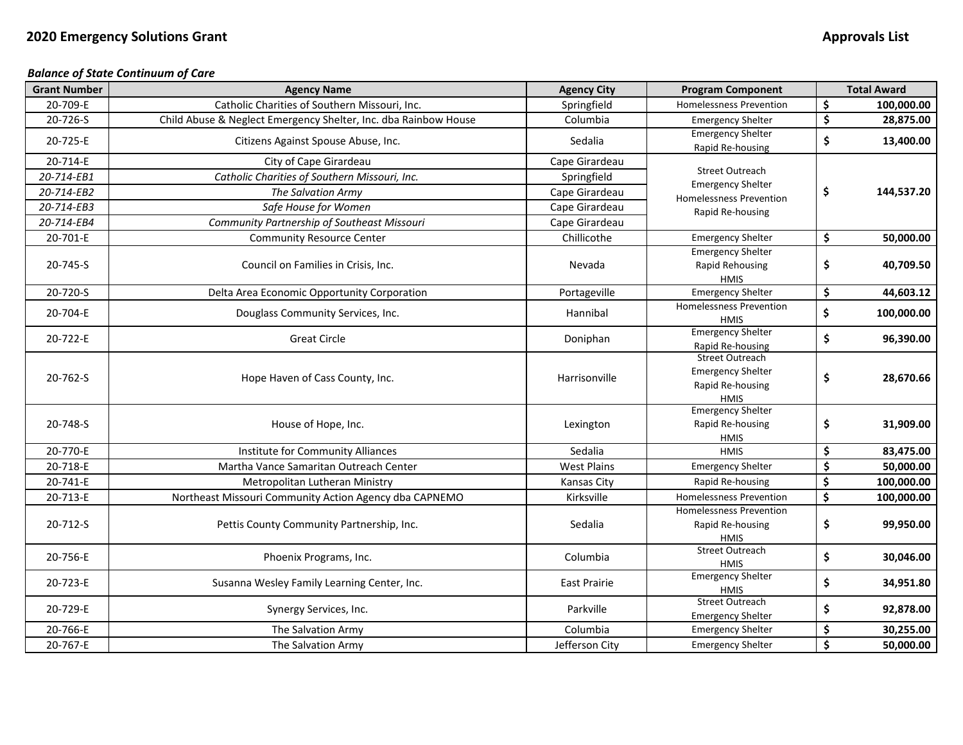## *Balance of State Continuum of Care*

| <b>Grant Number</b> | <b>Agency Name</b>                                              | <b>Agency City</b>  | <b>Program Component</b>                                                              |                                 | <b>Total Award</b> |
|---------------------|-----------------------------------------------------------------|---------------------|---------------------------------------------------------------------------------------|---------------------------------|--------------------|
| 20-709-E            | Catholic Charities of Southern Missouri, Inc.                   | Springfield         | <b>Homelessness Prevention</b>                                                        | \$                              | 100,000.00         |
| 20-726-S            | Child Abuse & Neglect Emergency Shelter, Inc. dba Rainbow House | Columbia            | <b>Emergency Shelter</b>                                                              | \$                              | 28,875.00          |
| 20-725-E            | Citizens Against Spouse Abuse, Inc.                             | Sedalia             | <b>Emergency Shelter</b><br>Rapid Re-housing                                          | \$                              | 13,400.00          |
| 20-714-E            | City of Cape Girardeau                                          | Cape Girardeau      |                                                                                       |                                 |                    |
| 20-714-EB1          | Catholic Charities of Southern Missouri, Inc.                   | Springfield         | <b>Street Outreach</b>                                                                |                                 |                    |
| 20-714-EB2          | The Salvation Army                                              | Cape Girardeau      | <b>Emergency Shelter</b><br><b>Homelessness Prevention</b>                            | \$                              | 144,537.20         |
| 20-714-EB3          | Safe House for Women                                            | Cape Girardeau      | Rapid Re-housing                                                                      |                                 |                    |
| 20-714-EB4          | Community Partnership of Southeast Missouri                     | Cape Girardeau      |                                                                                       |                                 |                    |
| 20-701-E            | <b>Community Resource Center</b>                                | Chillicothe         | <b>Emergency Shelter</b>                                                              | \$                              | 50,000.00          |
| 20-745-S            | Council on Families in Crisis, Inc.                             | Nevada              | <b>Emergency Shelter</b><br>Rapid Rehousing<br><b>HMIS</b>                            | \$                              | 40,709.50          |
| 20-720-S            | Delta Area Economic Opportunity Corporation                     | Portageville        | <b>Emergency Shelter</b>                                                              | \$                              | 44,603.12          |
| 20-704-E            | Douglass Community Services, Inc.                               | Hannibal            | <b>Homelessness Prevention</b><br><b>HMIS</b>                                         | \$                              | 100,000.00         |
| 20-722-E            | <b>Great Circle</b>                                             | Doniphan            | <b>Emergency Shelter</b><br>Rapid Re-housing                                          | \$                              | 96,390.00          |
| 20-762-S            | Hope Haven of Cass County, Inc.                                 | Harrisonville       | <b>Street Outreach</b><br><b>Emergency Shelter</b><br>Rapid Re-housing<br><b>HMIS</b> | \$                              | 28,670.66          |
| 20-748-S            | House of Hope, Inc.                                             | Lexington           | <b>Emergency Shelter</b><br>Rapid Re-housing<br><b>HMIS</b>                           | \$                              | 31,909.00          |
| 20-770-E            | Institute for Community Alliances                               | Sedalia             | <b>HMIS</b>                                                                           | \$                              | 83,475.00          |
| 20-718-E            | Martha Vance Samaritan Outreach Center                          | <b>West Plains</b>  | <b>Emergency Shelter</b>                                                              | \$                              | 50,000.00          |
| 20-741-E            | Metropolitan Lutheran Ministry                                  | Kansas City         | Rapid Re-housing                                                                      | $\overline{\boldsymbol{\zeta}}$ | 100,000.00         |
| 20-713-E            | Northeast Missouri Community Action Agency dba CAPNEMO          | Kirksville          | <b>Homelessness Prevention</b>                                                        | $\overline{\boldsymbol{\zeta}}$ | 100,000.00         |
| 20-712-S            | Pettis County Community Partnership, Inc.                       | Sedalia             | <b>Homelessness Prevention</b><br>Rapid Re-housing<br><b>HMIS</b>                     | \$                              | 99,950.00          |
| 20-756-E            | Phoenix Programs, Inc.                                          | Columbia            | <b>Street Outreach</b><br><b>HMIS</b>                                                 | \$                              | 30,046.00          |
| 20-723-E            | Susanna Wesley Family Learning Center, Inc.                     | <b>East Prairie</b> | <b>Emergency Shelter</b><br><b>HMIS</b>                                               | \$                              | 34,951.80          |
| 20-729-E            | Synergy Services, Inc.                                          | Parkville           | <b>Street Outreach</b><br><b>Emergency Shelter</b>                                    | \$                              | 92,878.00          |
| 20-766-E            | The Salvation Army                                              | Columbia            | <b>Emergency Shelter</b>                                                              | \$                              | 30,255.00          |
| 20-767-E            | The Salvation Army                                              | Jefferson City      | <b>Emergency Shelter</b>                                                              | \$                              | 50,000.00          |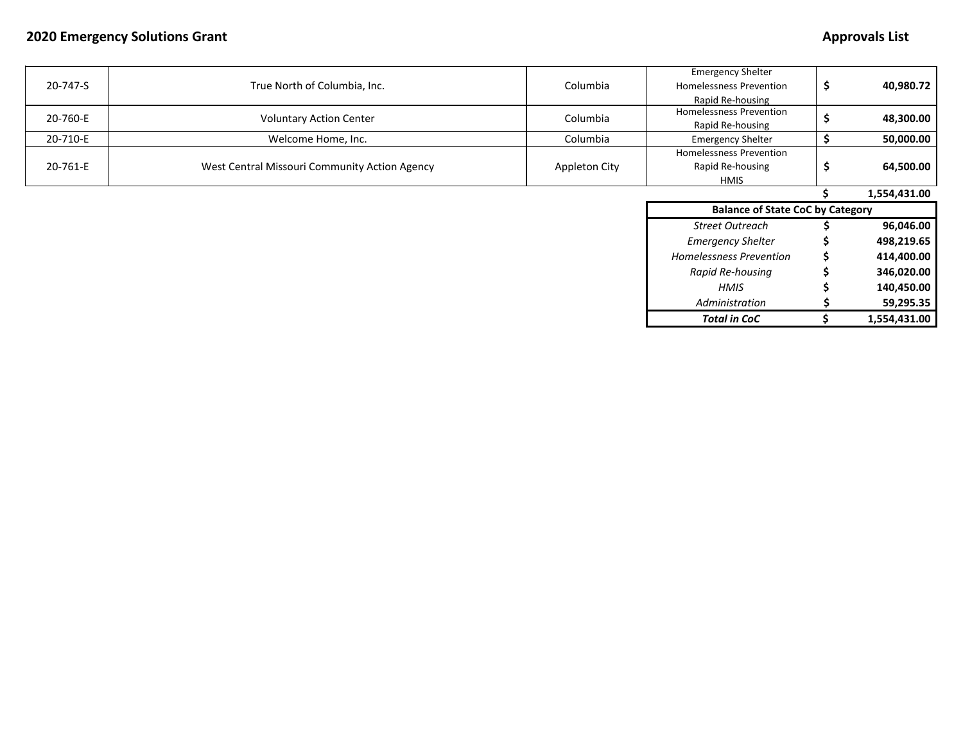## **2020 Emergency Solutions Grant Approvals List**

| 20-747-S | True North of Columbia, Inc.                  | Columbia             | <b>Emergency Shelter</b><br><b>Homelessness Prevention</b><br>Rapid Re-housing | \$ | 40,980.72    |
|----------|-----------------------------------------------|----------------------|--------------------------------------------------------------------------------|----|--------------|
| 20-760-E | <b>Voluntary Action Center</b>                | Columbia             | Homelessness Prevention<br>Rapid Re-housing                                    |    | 48,300.00    |
| 20-710-E | Welcome Home, Inc.                            | Columbia             | <b>Emergency Shelter</b>                                                       |    | 50,000.00    |
| 20-761-E | West Central Missouri Community Action Agency | <b>Appleton City</b> | <b>Homelessness Prevention</b><br>Rapid Re-housing<br><b>HMIS</b>              | S  | 64,500.00    |
|          |                                               |                      |                                                                                |    | 1,554,431.00 |
|          |                                               |                      | <b>Balance of State CoC by Category</b>                                        |    |              |
|          |                                               |                      | <b>Street Outreach</b>                                                         |    | 96,046.00    |
|          |                                               |                      | <b>Emergency Shelter</b>                                                       |    | 498,219.65   |
|          |                                               |                      | Homelessness Prevention                                                        |    | 414,400.00   |
|          |                                               |                      | Rapid Re-housing                                                               |    | 346,020.00   |
|          |                                               |                      | <b>HMIS</b>                                                                    |    | 140,450.00   |
|          |                                               |                      | Administration                                                                 |    | 59,295.35    |
|          |                                               |                      | <b>Total in CoC</b>                                                            |    | 1,554,431.00 |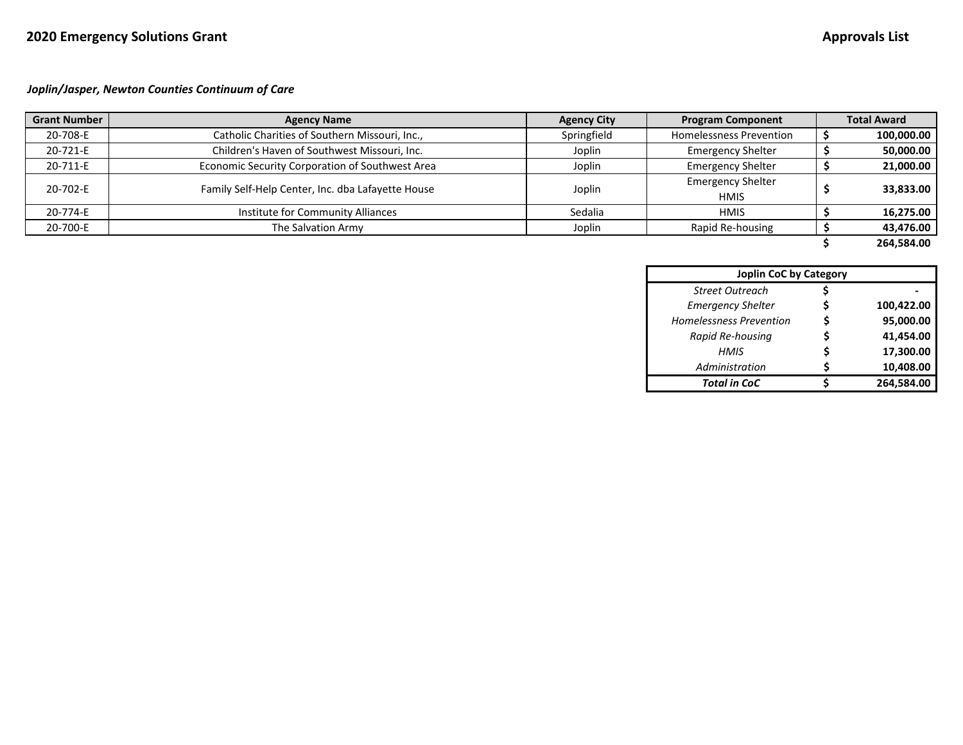*Joplin/Jasper, Newton Counties Continuum of Care*

| <b>Grant Number</b> | <b>Agency Name</b>                                | <b>Agency City</b> | <b>Program Component</b>       | <b>Total Award</b> |
|---------------------|---------------------------------------------------|--------------------|--------------------------------|--------------------|
| 20-708-E            | Catholic Charities of Southern Missouri, Inc.,    | Springfield        | <b>Homelessness Prevention</b> | 100,000.00         |
| 20-721-E            | Children's Haven of Southwest Missouri, Inc.      | Joplin             | <b>Emergency Shelter</b>       | 50,000.00          |
| 20-711-E            | Economic Security Corporation of Southwest Area   | Joplin             | <b>Emergency Shelter</b>       | 21,000.00          |
| 20-702-E            | Family Self-Help Center, Inc. dba Lafayette House |                    | <b>Emergency Shelter</b>       |                    |
|                     |                                                   | Joplin             | <b>HMIS</b>                    | 33,833.00          |
| 20-774-E            | Institute for Community Alliances                 | Sedalia            | <b>HMIS</b>                    | 16,275.00          |
| 20-700-E            | The Salvation Army                                | Joplin             | Rapid Re-housing               | 43,476.00          |
|                     |                                                   |                    |                                | 264,584.00         |

| <b>Joplin CoC by Category</b>  |  |            |  |  |  |
|--------------------------------|--|------------|--|--|--|
| <b>Street Outreach</b>         |  |            |  |  |  |
| <b>Emergency Shelter</b>       |  | 100,422.00 |  |  |  |
| <b>Homelessness Prevention</b> |  | 95,000.00  |  |  |  |
| Rapid Re-housing               |  | 41,454.00  |  |  |  |
| HMIS                           |  | 17,300.00  |  |  |  |
| Administration                 |  | 10,408.00  |  |  |  |
| <b>Total in CoC</b>            |  | 264,584.00 |  |  |  |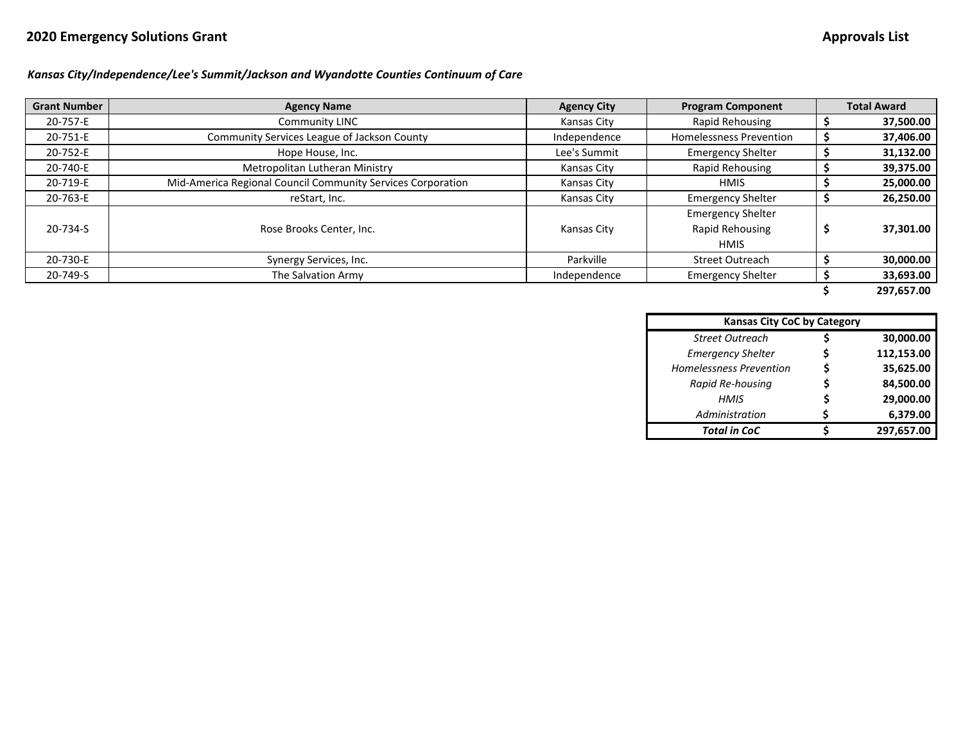# **2020 Emergency Solutions Grant Approvals List**

## *Kansas City/Independence/Lee's Summit/Jackson and Wyandotte Counties Continuum of Care*

| <b>Grant Number</b> | <b>Agency Name</b>                                          | <b>Agency City</b> | <b>Program Component</b>                                   | <b>Total Award</b> |
|---------------------|-------------------------------------------------------------|--------------------|------------------------------------------------------------|--------------------|
| 20-757-E            | <b>Community LINC</b>                                       | <b>Kansas City</b> | Rapid Rehousing                                            | 37,500.00          |
| 20-751-E            | Community Services League of Jackson County                 | Independence       | <b>Homelessness Prevention</b>                             | 37,406.00          |
| 20-752-E            | Hope House, Inc.                                            | Lee's Summit       | <b>Emergency Shelter</b>                                   | 31,132.00          |
| 20-740-E            | Metropolitan Lutheran Ministry                              | Kansas City        | Rapid Rehousing                                            | 39,375.00          |
| 20-719-E            | Mid-America Regional Council Community Services Corporation | <b>Kansas City</b> | <b>HMIS</b>                                                | 25,000.00          |
| 20-763-E            | reStart, Inc.                                               | Kansas City        | <b>Emergency Shelter</b>                                   | 26,250.00          |
| 20-734-S            | Rose Brooks Center, Inc.                                    | <b>Kansas City</b> | <b>Emergency Shelter</b><br>Rapid Rehousing<br><b>HMIS</b> | \$<br>37,301.00    |
| 20-730-E            | Synergy Services, Inc.                                      | Parkville          | Street Outreach                                            | 30,000.00          |
| 20-749-S            | The Salvation Army                                          | Independence       | <b>Emergency Shelter</b>                                   | 33,693.00          |
|                     |                                                             |                    |                                                            | 297.657.00         |

| <b>Kansas City CoC by Category</b> |   |            |  |  |  |
|------------------------------------|---|------------|--|--|--|
| <b>Street Outreach</b>             |   | 30,000.00  |  |  |  |
| <b>Emergency Shelter</b>           | S | 112,153.00 |  |  |  |
| <b>Homelessness Prevention</b>     | Ś | 35,625.00  |  |  |  |
| Rapid Re-housing                   |   | 84,500.00  |  |  |  |
| HMIS                               | Ś | 29,000.00  |  |  |  |
| Administration                     | S | 6,379.00   |  |  |  |
| <b>Total in CoC</b>                |   | 297,657.00 |  |  |  |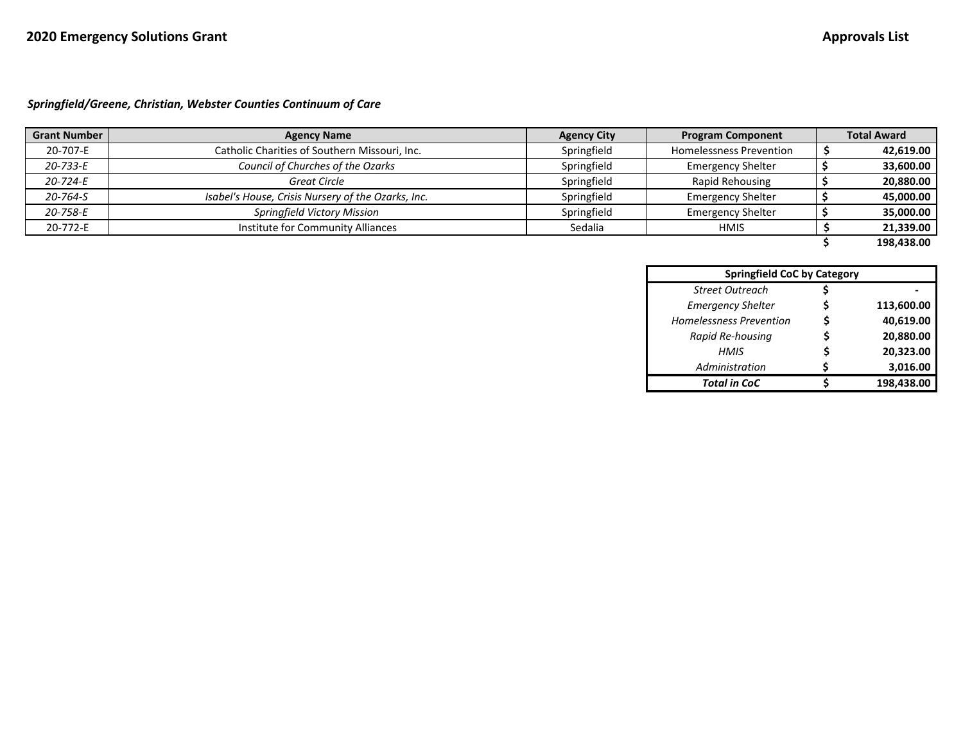## *Springfield/Greene, Christian, Webster Counties Continuum of Care*

| <b>Grant Number</b> | <b>Agency Name</b>                                 | <b>Agency City</b> | <b>Program Component</b>       | <b>Total Award</b> |
|---------------------|----------------------------------------------------|--------------------|--------------------------------|--------------------|
| 20-707-E            | Catholic Charities of Southern Missouri, Inc.      | Springfield        | <b>Homelessness Prevention</b> | 42,619.00          |
| 20-733-E            | Council of Churches of the Ozarks                  | Springfield        | <b>Emergency Shelter</b>       | 33,600.00          |
| 20-724-E            | Great Circle                                       | Springfield        | Rapid Rehousing                | 20,880.00          |
| 20-764-S            | Isabel's House, Crisis Nursery of the Ozarks, Inc. | Springfield        | <b>Emergency Shelter</b>       | 45,000.00          |
| 20-758-E            | Springfield Victory Mission                        | Springfield        | <b>Emergency Shelter</b>       | 35,000.00          |
| 20-772-E            | Institute for Community Alliances                  | Sedalia            | <b>HMIS</b>                    | 21,339.00          |
|                     |                                                    |                    |                                | 198,438.00         |

|                                | <b>Springfield CoC by Category</b> |            |  |  |  |  |
|--------------------------------|------------------------------------|------------|--|--|--|--|
| <b>Street Outreach</b>         |                                    |            |  |  |  |  |
| <b>Emergency Shelter</b>       | S                                  | 113,600.00 |  |  |  |  |
| <b>Homelessness Prevention</b> |                                    | 40.619.00  |  |  |  |  |
| Rapid Re-housing               |                                    | 20,880.00  |  |  |  |  |
| HMIS                           |                                    | 20,323.00  |  |  |  |  |
| Administration                 |                                    | 3,016.00   |  |  |  |  |
| <b>Total in CoC</b>            |                                    | 198,438.00 |  |  |  |  |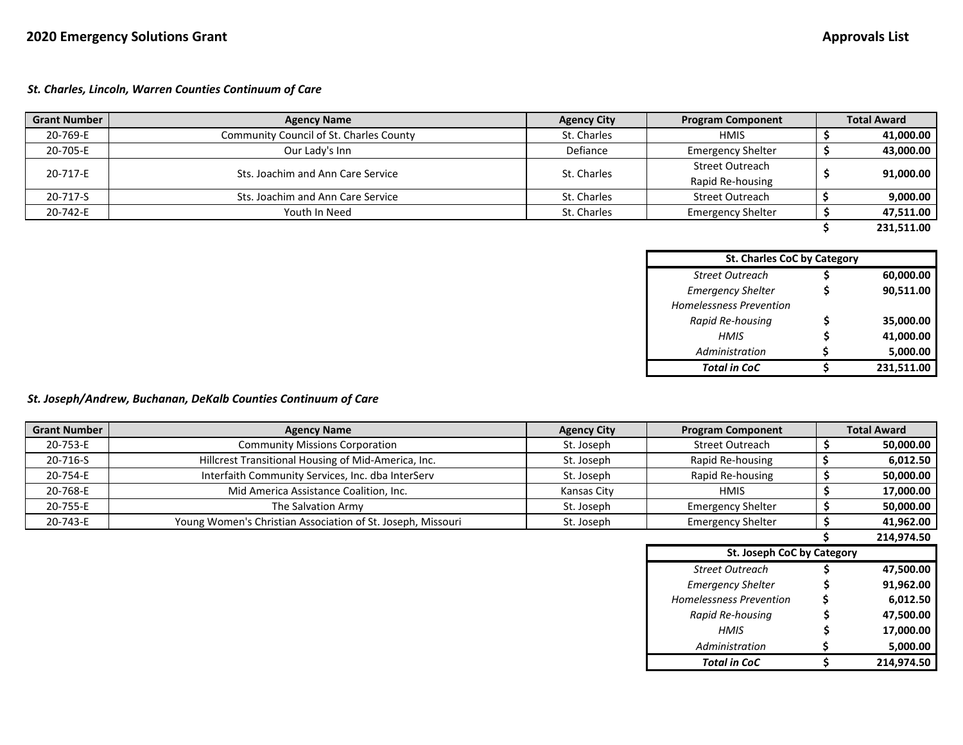#### *St. Charles, Lincoln, Warren Counties Continuum of Care*

| <b>Grant Number</b> | <b>Agency Name</b>                      | <b>Agency City</b> | <b>Program Component</b> | <b>Total Award</b> |
|---------------------|-----------------------------------------|--------------------|--------------------------|--------------------|
| 20-769-E            | Community Council of St. Charles County | St. Charles        | <b>HMIS</b>              | 41,000.00          |
| 20-705-E            | Our Lady's Inn                          | Defiance           | <b>Emergency Shelter</b> | 43,000.00          |
| 20-717-E            | Sts. Joachim and Ann Care Service       | St. Charles        | <b>Street Outreach</b>   |                    |
|                     |                                         |                    | Rapid Re-housing         | 91,000.00          |
| 20-717-S            | Sts. Joachim and Ann Care Service       | St. Charles        | <b>Street Outreach</b>   | 9,000.00           |
| 20-742-E            | Youth In Need                           | St. Charles        | <b>Emergency Shelter</b> | 47.511.00          |
|                     |                                         |                    |                          | 231.511.00         |

| <b>St. Charles CoC by Category</b> |   |            |  |  |  |  |
|------------------------------------|---|------------|--|--|--|--|
| <b>Street Outreach</b>             |   | 60,000.00  |  |  |  |  |
| <b>Emergency Shelter</b>           |   | 90,511.00  |  |  |  |  |
| <b>Homelessness Prevention</b>     |   |            |  |  |  |  |
| Rapid Re-housing                   |   | 35,000.00  |  |  |  |  |
| HMIS                               |   | 41,000.00  |  |  |  |  |
| Administration                     | S | 5,000.00   |  |  |  |  |
| <b>Total in CoC</b>                |   | 231,511.00 |  |  |  |  |

## *St. Joseph/Andrew, Buchanan, DeKalb Counties Continuum of Care*

| <b>Grant Number</b> | <b>Agency Name</b>                                          | <b>Agency City</b> | <b>Program Component</b>   | <b>Total Award</b> |
|---------------------|-------------------------------------------------------------|--------------------|----------------------------|--------------------|
| 20-753-E            | <b>Community Missions Corporation</b>                       | St. Joseph         | Street Outreach            | 50,000.00          |
| 20-716-S            | Hillcrest Transitional Housing of Mid-America, Inc.         | St. Joseph         | Rapid Re-housing           | 6,012.50           |
| 20-754-E            | Interfaith Community Services, Inc. dba InterServ           | St. Joseph         | Rapid Re-housing           | 50,000.00          |
| 20-768-E            | Mid America Assistance Coalition, Inc.                      | Kansas City        | <b>HMIS</b>                | 17,000.00          |
| 20-755-E            | The Salvation Army                                          | St. Joseph         | <b>Emergency Shelter</b>   | 50,000.00          |
| 20-743-E            | Young Women's Christian Association of St. Joseph, Missouri | St. Joseph         | <b>Emergency Shelter</b>   | 41,962.00          |
|                     |                                                             |                    |                            |                    |
|                     |                                                             |                    |                            | 214,974.50         |
|                     |                                                             |                    | St. Joseph CoC by Category |                    |
|                     |                                                             |                    | <b>Street Outreach</b>     | 47,500.00          |
|                     |                                                             |                    | <b>Emergency Shelter</b>   | 91,962.00          |
|                     |                                                             |                    | Homelessness Prevention    | 6,012.50           |
|                     |                                                             |                    | Rapid Re-housing           | 47,500.00          |
|                     |                                                             |                    | HMIS                       | 17,000.00          |
|                     |                                                             |                    | Administration             | 5,000.00           |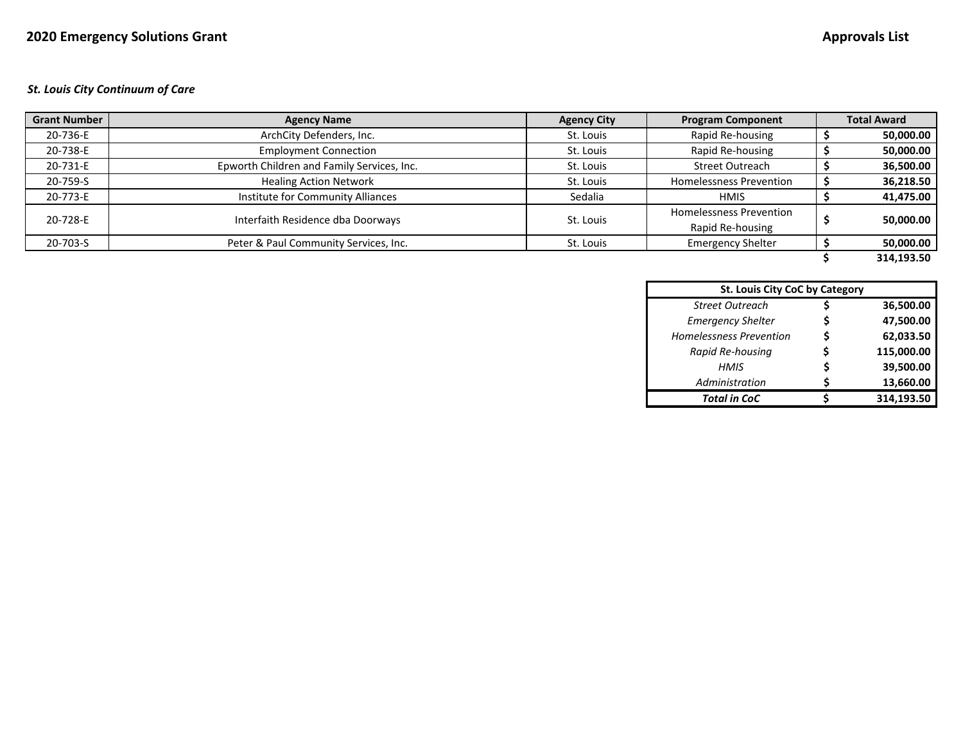#### *St. Louis City Continuum of Care*

| <b>Grant Number</b> | <b>Agency Name</b>                         | <b>Agency City</b> | <b>Program Component</b>       | <b>Total Award</b> |
|---------------------|--------------------------------------------|--------------------|--------------------------------|--------------------|
| 20-736-E            | ArchCity Defenders, Inc.                   | St. Louis          | Rapid Re-housing               | 50,000.00          |
| 20-738-E            | <b>Employment Connection</b>               | St. Louis          | Rapid Re-housing               | 50,000.00          |
| 20-731-E            | Epworth Children and Family Services, Inc. | St. Louis          | <b>Street Outreach</b>         | 36,500.00          |
| 20-759-S            | <b>Healing Action Network</b>              | St. Louis          | <b>Homelessness Prevention</b> | 36,218.50          |
| 20-773-E            | Institute for Community Alliances          | Sedalia            | <b>HMIS</b>                    | 41,475.00          |
| 20-728-E            | Interfaith Residence dba Doorways          | St. Louis          | <b>Homelessness Prevention</b> | 50,000.00          |
|                     |                                            |                    | Rapid Re-housing               |                    |
| 20-703-S            | Peter & Paul Community Services, Inc.      | St. Louis          | <b>Emergency Shelter</b>       | 50,000.00          |
|                     |                                            |                    |                                | 314.193.50         |

| St. Louis City CoC by Category |   |            |  |  |  |
|--------------------------------|---|------------|--|--|--|
| <b>Street Outreach</b>         |   | 36,500.00  |  |  |  |
| <b>Emergency Shelter</b>       |   | 47,500.00  |  |  |  |
| <b>Homelessness Prevention</b> | S | 62,033.50  |  |  |  |
| Rapid Re-housing               |   | 115,000.00 |  |  |  |
| HMIS                           |   | 39,500.00  |  |  |  |
| Administration                 |   | 13,660.00  |  |  |  |
| <b>Total in CoC</b>            |   | 314,193.50 |  |  |  |